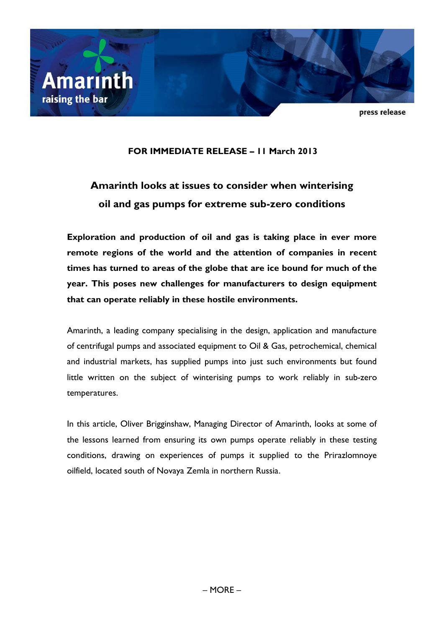

press release

# **FOR IMMEDIATE RELEASE – 11 March 2013**

# **Amarinth looks at issues to consider when winterising oil and gas pumps for extreme sub-zero conditions**

**Exploration and production of oil and gas is taking place in ever more remote regions of the world and the attention of companies in recent times has turned to areas of the globe that are ice bound for much of the year. This poses new challenges for manufacturers to design equipment that can operate reliably in these hostile environments.**

Amarinth, a leading company specialising in the design, application and manufacture of centrifugal pumps and associated equipment to Oil & Gas, petrochemical, chemical and industrial markets, has supplied pumps into just such environments but found little written on the subject of winterising pumps to work reliably in sub-zero temperatures.

In this article, Oliver Brigginshaw, Managing Director of Amarinth, looks at some of the lessons learned from ensuring its own pumps operate reliably in these testing conditions, drawing on experiences of pumps it supplied to the Prirazlomnoye oilfield, located south of Novaya Zemla in northern Russia.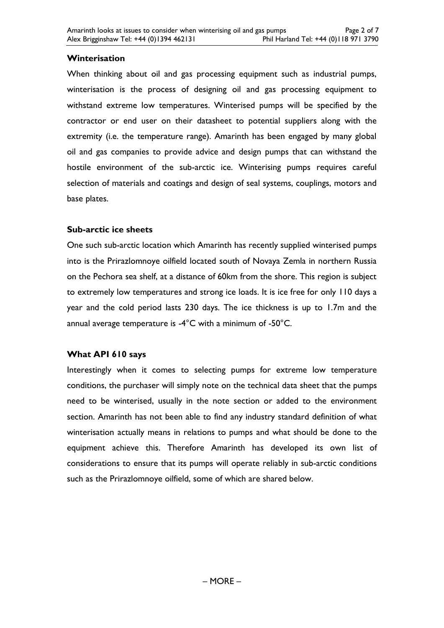# **Winterisation**

When thinking about oil and gas processing equipment such as industrial pumps, winterisation is the process of designing oil and gas processing equipment to withstand extreme low temperatures. Winterised pumps will be specified by the contractor or end user on their datasheet to potential suppliers along with the extremity (i.e. the temperature range). Amarinth has been engaged by many global oil and gas companies to provide advice and design pumps that can withstand the hostile environment of the sub-arctic ice. Winterising pumps requires careful selection of materials and coatings and design of seal systems, couplings, motors and base plates.

# **Sub-arctic ice sheets**

One such sub-arctic location which Amarinth has recently supplied winterised pumps into is the Prirazlomnoye oilfield located south of Novaya Zemla in northern Russia on the Pechora sea shelf, at a distance of 60km from the shore. This region is subject to extremely low temperatures and strong ice loads. It is ice free for only 110 days a year and the cold period lasts 230 days. The ice thickness is up to 1.7m and the annual average temperature is -4°C with a minimum of -50°C.

# **What API 610 says**

Interestingly when it comes to selecting pumps for extreme low temperature conditions, the purchaser will simply note on the technical data sheet that the pumps need to be winterised, usually in the note section or added to the environment section. Amarinth has not been able to find any industry standard definition of what winterisation actually means in relations to pumps and what should be done to the equipment achieve this. Therefore Amarinth has developed its own list of considerations to ensure that its pumps will operate reliably in sub-arctic conditions such as the Prirazlomnoye oilfield, some of which are shared below.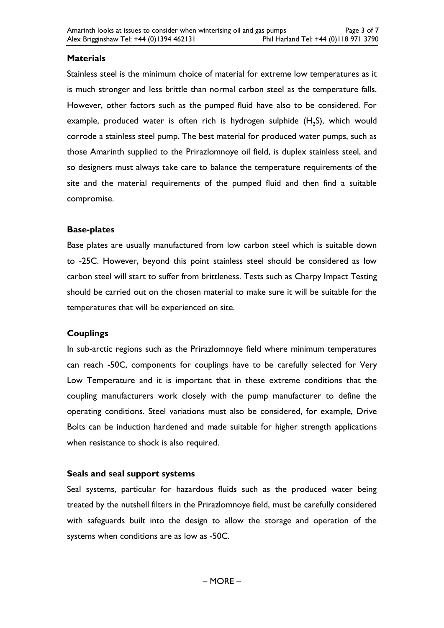# **Materials**

Stainless steel is the minimum choice of material for extreme low temperatures as it is much stronger and less brittle than normal carbon steel as the temperature falls. However, other factors such as the pumped fluid have also to be considered. For example, produced water is often rich is hydrogen sulphide  $(H<sub>2</sub>S)$ , which would corrode a stainless steel pump. The best material for produced water pumps, such as those Amarinth supplied to the Prirazlomnoye oil field, is duplex stainless steel, and so designers must always take care to balance the temperature requirements of the site and the material requirements of the pumped fluid and then find a suitable compromise.

# **Base-plates**

Base plates are usually manufactured from low carbon steel which is suitable down to -25C. However, beyond this point stainless steel should be considered as low carbon steel will start to suffer from brittleness. Tests such as Charpy Impact Testing should be carried out on the chosen material to make sure it will be suitable for the temperatures that will be experienced on site.

# **Couplings**

In sub-arctic regions such as the Prirazlomnoye field where minimum temperatures can reach -50C, components for couplings have to be carefully selected for Very Low Temperature and it is important that in these extreme conditions that the coupling manufacturers work closely with the pump manufacturer to define the operating conditions. Steel variations must also be considered, for example, Drive Bolts can be induction hardened and made suitable for higher strength applications when resistance to shock is also required.

### **Seals and seal support systems**

Seal systems, particular for hazardous fluids such as the produced water being treated by the nutshell filters in the Prirazlomnoye field, must be carefully considered with safeguards built into the design to allow the storage and operation of the systems when conditions are as low as -50C.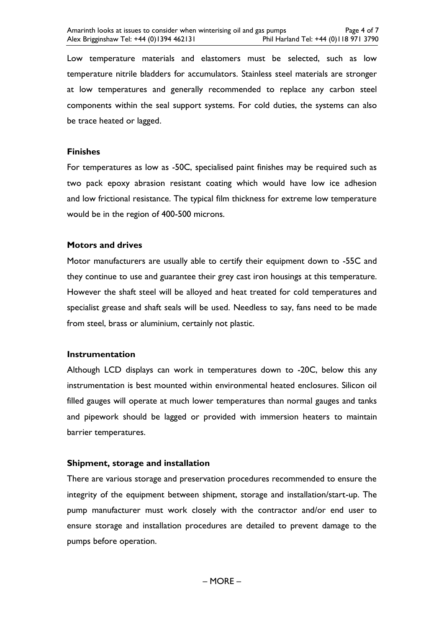Low temperature materials and elastomers must be selected, such as low temperature nitrile bladders for accumulators. Stainless steel materials are stronger at low temperatures and generally recommended to replace any carbon steel components within the seal support systems. For cold duties, the systems can also be trace heated or lagged.

#### **Finishes**

For temperatures as low as -50C, specialised paint finishes may be required such as two pack epoxy abrasion resistant coating which would have low ice adhesion and low frictional resistance. The typical film thickness for extreme low temperature would be in the region of 400-500 microns.

#### **Motors and drives**

Motor manufacturers are usually able to certify their equipment down to -55C and they continue to use and guarantee their grey cast iron housings at this temperature. However the shaft steel will be alloyed and heat treated for cold temperatures and specialist grease and shaft seals will be used. Needless to say, fans need to be made from steel, brass or aluminium, certainly not plastic.

#### **Instrumentation**

Although LCD displays can work in temperatures down to -20C, below this any instrumentation is best mounted within environmental heated enclosures. Silicon oil filled gauges will operate at much lower temperatures than normal gauges and tanks and pipework should be lagged or provided with immersion heaters to maintain barrier temperatures.

### **Shipment, storage and installation**

There are various storage and preservation procedures recommended to ensure the integrity of the equipment between shipment, storage and installation/start-up. The pump manufacturer must work closely with the contractor and/or end user to ensure storage and installation procedures are detailed to prevent damage to the pumps before operation.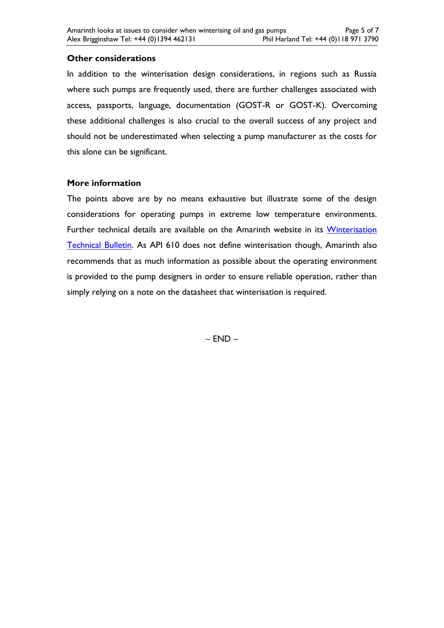# **Other considerations**

In addition to the winterisation design considerations, in regions such as Russia where such pumps are frequently used, there are further challenges associated with access, passports, language, documentation (GOST-R or GOST-K). Overcoming these additional challenges is also crucial to the overall success of any project and should not be underestimated when selecting a pump manufacturer as the costs for this alone can be significant.

### **More information**

The points above are by no means exhaustive but illustrate some of the design considerations for operating pumps in extreme low temperature environments. Further technical details are available on the Amarinth website in its Winterisation [Technical Bulletin.](http://www.amarinth.com/public_library/Amarinth-Technical-bulletin-Winterisation-of-pumps-RevA.pdf) As API 610 does not define winterisation though, Amarinth also recommends that as much information as possible about the operating environment is provided to the pump designers in order to ensure reliable operation, rather than simply relying on a note on the datasheet that winterisation is required.

– END –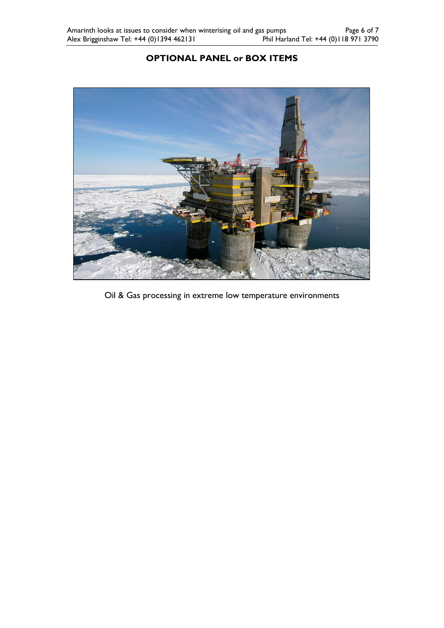# **OPTIONAL PANEL or BOX ITEMS**



Oil & Gas processing in extreme low temperature environments